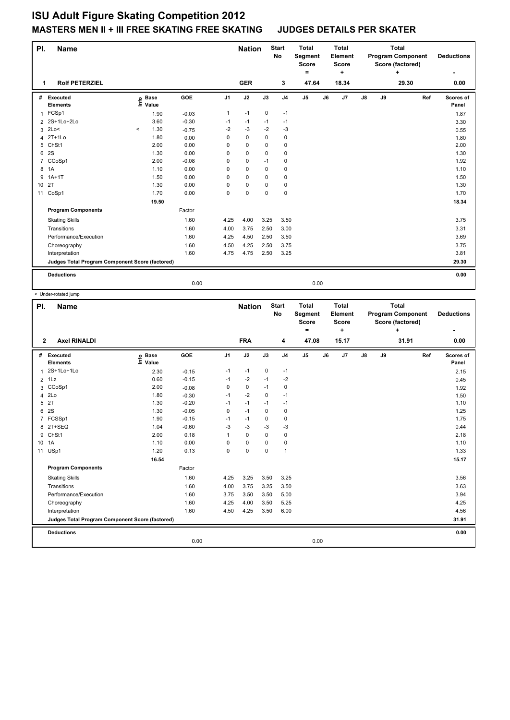## **ISU Adult Figure Skating Competition 2012 MASTERS MEN II + III FREE SKATING FREE SKATING JUDGES DETAILS PER SKATER**

| PI.<br><b>Name</b>         |                                                 |          |                      |            |                | <b>Nation</b> |             | <b>Start</b><br>No | <b>Total</b><br>Segment<br><b>Score</b><br>= |    | <b>Total</b><br><b>Element</b><br><b>Score</b><br>÷ | <b>Total</b><br><b>Program Component</b><br>Score (factored)<br>÷ |    |       |     | <b>Deductions</b>  |
|----------------------------|-------------------------------------------------|----------|----------------------|------------|----------------|---------------|-------------|--------------------|----------------------------------------------|----|-----------------------------------------------------|-------------------------------------------------------------------|----|-------|-----|--------------------|
| <b>Rolf PETERZIEL</b><br>1 |                                                 |          |                      |            |                | <b>GER</b>    |             | 3                  | 47.64                                        |    | 18.34                                               |                                                                   |    | 29.30 |     | 0.00               |
| #                          | <b>Executed</b><br><b>Elements</b>              | lnfo     | <b>Base</b><br>Value | <b>GOE</b> | J <sub>1</sub> | J2            | J3          | J <sub>4</sub>     | J <sub>5</sub>                               | J6 | J7                                                  | J8                                                                | J9 |       | Ref | Scores of<br>Panel |
| 1                          | FCSp1                                           |          | 1.90                 | $-0.03$    | 1              | $-1$          | $\mathbf 0$ | $-1$               |                                              |    |                                                     |                                                                   |    |       |     | 1.87               |
| 2                          | 2S+1Lo+2Lo                                      |          | 3.60                 | $-0.30$    | $-1$           | $-1$          | $-1$        | $-1$               |                                              |    |                                                     |                                                                   |    |       |     | 3.30               |
| 3                          | 2Lo<                                            | $\hat{}$ | 1.30                 | $-0.75$    | $-2$           | $-3$          | $-2$        | $-3$               |                                              |    |                                                     |                                                                   |    |       |     | 0.55               |
| 4                          | $2T+1L0$                                        |          | 1.80                 | 0.00       | $\mathbf 0$    | $\mathbf 0$   | $\mathbf 0$ | $\mathbf 0$        |                                              |    |                                                     |                                                                   |    |       |     | 1.80               |
| 5                          | ChSt1                                           |          | 2.00                 | 0.00       | 0              | $\mathbf 0$   | 0           | $\mathbf 0$        |                                              |    |                                                     |                                                                   |    |       |     | 2.00               |
| 6                          | 2S                                              |          | 1.30                 | 0.00       | 0              | $\mathbf 0$   | $\Omega$    | $\mathbf 0$        |                                              |    |                                                     |                                                                   |    |       |     | 1.30               |
| $\overline{7}$             | CCoSp1                                          |          | 2.00                 | $-0.08$    | 0              | $\mathbf 0$   | $-1$        | $\mathbf 0$        |                                              |    |                                                     |                                                                   |    |       |     | 1.92               |
| 8                          | 1A                                              |          | 1.10                 | 0.00       | 0              | $\mathbf 0$   | 0           | 0                  |                                              |    |                                                     |                                                                   |    |       |     | 1.10               |
| 9                          | $1A+1T$                                         |          | 1.50                 | 0.00       | 0              | $\mathbf 0$   | $\mathbf 0$ | $\mathbf 0$        |                                              |    |                                                     |                                                                   |    |       |     | 1.50               |
| 10                         | 2T                                              |          | 1.30                 | 0.00       | 0              | $\mathbf 0$   | 0           | 0                  |                                              |    |                                                     |                                                                   |    |       |     | 1.30               |
| 11                         | CoSp1                                           |          | 1.70                 | 0.00       | $\mathbf 0$    | $\mathbf 0$   | $\mathbf 0$ | $\mathbf 0$        |                                              |    |                                                     |                                                                   |    |       |     | 1.70               |
|                            |                                                 |          | 19.50                |            |                |               |             |                    |                                              |    |                                                     |                                                                   |    |       |     | 18.34              |
|                            | <b>Program Components</b>                       |          |                      | Factor     |                |               |             |                    |                                              |    |                                                     |                                                                   |    |       |     |                    |
|                            | <b>Skating Skills</b>                           |          |                      | 1.60       | 4.25           | 4.00          | 3.25        | 3.50               |                                              |    |                                                     |                                                                   |    |       |     | 3.75               |
|                            | Transitions                                     |          |                      | 1.60       | 4.00           | 3.75          | 2.50        | 3.00               |                                              |    |                                                     |                                                                   |    |       |     | 3.31               |
|                            | Performance/Execution                           |          |                      | 1.60       | 4.25           | 4.50          | 2.50        | 3.50               |                                              |    |                                                     |                                                                   |    |       |     | 3.69               |
|                            | Choreography                                    |          |                      | 1.60       | 4.50           | 4.25          | 2.50        | 3.75               |                                              |    |                                                     |                                                                   |    |       |     | 3.75               |
|                            | Interpretation                                  |          |                      | 1.60       | 4.75           | 4.75          | 2.50        | 3.25               |                                              |    |                                                     |                                                                   |    |       |     | 3.81               |
|                            | Judges Total Program Component Score (factored) |          |                      |            |                |               |             |                    |                                              |    |                                                     |                                                                   |    |       |     | 29.30              |
|                            | <b>Deductions</b>                               |          |                      |            |                |               |             |                    |                                              |    |                                                     |                                                                   |    |       |     | 0.00               |
|                            |                                                 |          |                      | 0.00       |                |               |             |                    | 0.00                                         |    |                                                     |                                                                   |    |       |     |                    |

 < Under-rotated jump **Name Deductions - Nation Total Pl. Start Segment Score = Total Element Score + Total Program Component Score (factored) + No # Executed Elements Base Value GOE J1 J2 J3 J4 J5 J6 J7 J8 J9 Scores of Panel** 1 2.30 -0.15 -1 -1 0 -1 **Ref**  المسلمة المسلمة المسلمة المسلمة المسلمة المسلمة المسلمة المسلمة المسلمة المسلمة المسلمة المسلمة المسلمة المسلم<br>2S+1Lo+1Lo<br>2S+1Lo+1Lo 2.30 -0.15 -1 -1 0 -1 2.15 -1 2.15  **2 Axel RINALDI FRA 4 47.08 15.17 31.91 0.00** 2 1Lz 0.60 -0.15 -1 -2 -1 -2 0.45 3 CCoSp1 2.00 -0.08 0 0 -1 0 1.92 4 2Lo 1.80 -0.30 -1 -2 0 -1 1.50  $5$  2T  $1.30$   $-0.20$   $-1$   $-1$   $-1$   $-1$ 6 2S 1.30 -0.05 0 -1 0 0 1.25 7 FCSSp1 1.90 -0.15 -1 -1 0 0 1.75 8 2T+SEQ 1.04 -0.60 -3 -3 -3 -3 0.44 9 ChSt1 2.00 0.18 1 0 0 0 2.18 10 1A 1.10 0.00 0 0 0 0 1.10 11 USp1 1.20 0.13 0 0 0 1 1.33  **16.54 15.17 Program Components**  Skating Skills **4.25** 3.25 3.50 3.25 Factor 1.60 3.56 Transitions 1.60 4.00 3.75 3.25 3.50 3.63 Performance/Execution 1.60 3.75 3.50 3.50 5.00 Choreography 1.60 4.25 4.00 3.50 5.25 4.25 Interpretation 1.60 4.50 4.25 3.50 6.00 4.56 **Deductions 0.00 Judges Total Program Component Score (factored) 31.91** 0.00 0.00